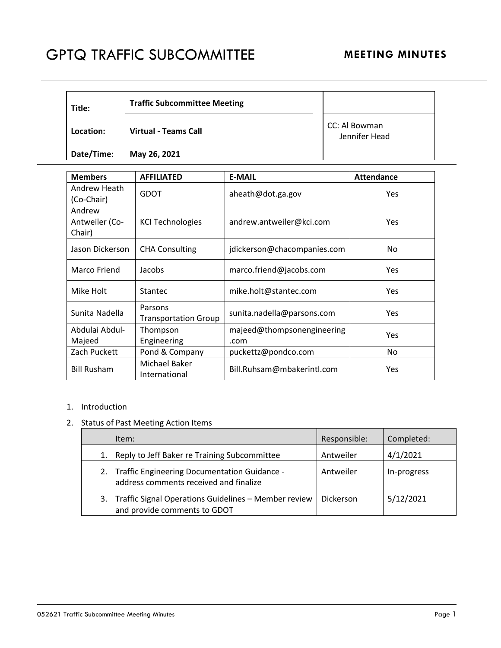## GPTQ TRAFFIC SUBCOMMITTEE MEETING MINUTES

| Title:     | <b>Traffic Subcommittee Meeting</b> |                                |
|------------|-------------------------------------|--------------------------------|
| Location:  | <b>Virtual - Teams Call</b>         | CC: Al Bowman<br>Jennifer Head |
| Date/Time: | May 26, 2021                        |                                |

| <b>Members</b>                     | <b>AFFILIATED</b>                      | <b>E-MAIL</b>                      | <b>Attendance</b> |
|------------------------------------|----------------------------------------|------------------------------------|-------------------|
| Andrew Heath<br>(Co-Chair)         | <b>GDOT</b>                            | aheath@dot.ga.gov                  | Yes               |
| Andrew<br>Antweiler (Co-<br>Chair) | <b>KCI Technologies</b>                | andrew.antweiler@kci.com           | Yes               |
| Jason Dickerson                    | <b>CHA Consulting</b>                  | jdickerson@chacompanies.com        | No.               |
| Marco Friend                       | Jacobs                                 | marco.friend@jacobs.com            | <b>Yes</b>        |
| Mike Holt                          | <b>Stantec</b>                         | mike.holt@stantec.com              | Yes               |
| Sunita Nadella                     | Parsons<br><b>Transportation Group</b> | sunita.nadella@parsons.com         | Yes               |
| Abdulai Abdul-<br>Majeed           | Thompson<br>Engineering                | majeed@thompsonengineering<br>.com | Yes               |
| Zach Puckett                       | Pond & Company                         | puckettz@pondco.com                | No.               |
| <b>Bill Rusham</b>                 | Michael Baker<br>International         | Bill.Ruhsam@mbakerintl.com         | Yes               |

## 1. Introduction

## 2. Status of Past Meeting Action Items

| Item:                                                                                     | Responsible: | Completed:  |
|-------------------------------------------------------------------------------------------|--------------|-------------|
| 1. Reply to Jeff Baker re Training Subcommittee                                           | Antweiler    | 4/1/2021    |
| 2. Traffic Engineering Documentation Guidance -<br>address comments received and finalize | Antweiler    | In-progress |
| 3. Traffic Signal Operations Guidelines - Member review<br>and provide comments to GDOT   | Dickerson    | 5/12/2021   |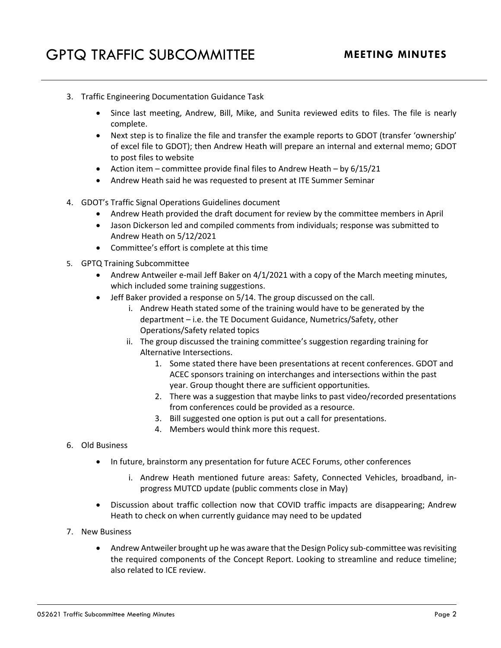- 3. Traffic Engineering Documentation Guidance Task
	- Since last meeting, Andrew, Bill, Mike, and Sunita reviewed edits to files. The file is nearly complete.
	- Next step is to finalize the file and transfer the example reports to GDOT (transfer 'ownership' of excel file to GDOT); then Andrew Heath will prepare an internal and external memo; GDOT to post files to website
	- Action item committee provide final files to Andrew Heath by  $6/15/21$
	- Andrew Heath said he was requested to present at ITE Summer Seminar
- 4. GDOT's Traffic Signal Operations Guidelines document
	- Andrew Heath provided the draft document for review by the committee members in April
	- Jason Dickerson led and compiled comments from individuals; response was submitted to Andrew Heath on 5/12/2021
	- Committee's effort is complete at this time
- 5. GPTQ Training Subcommittee
	- Andrew Antweiler e-mail Jeff Baker on 4/1/2021 with a copy of the March meeting minutes, which included some training suggestions.
	- Jeff Baker provided a response on 5/14. The group discussed on the call.
		- i. Andrew Heath stated some of the training would have to be generated by the department – i.e. the TE Document Guidance, Numetrics/Safety, other Operations/Safety related topics
		- ii. The group discussed the training committee's suggestion regarding training for Alternative Intersections.
			- 1. Some stated there have been presentations at recent conferences. GDOT and ACEC sponsors training on interchanges and intersections within the past year. Group thought there are sufficient opportunities.
			- 2. There was a suggestion that maybe links to past video/recorded presentations from conferences could be provided as a resource.
			- 3. Bill suggested one option is put out a call for presentations.
			- 4. Members would think more this request.
- 6. Old Business
	- In future, brainstorm any presentation for future ACEC Forums, other conferences
		- i. Andrew Heath mentioned future areas: Safety, Connected Vehicles, broadband, inprogress MUTCD update (public comments close in May)
	- Discussion about traffic collection now that COVID traffic impacts are disappearing; Andrew Heath to check on when currently guidance may need to be updated
- 7. New Business
	- Andrew Antweiler brought up he was aware that the Design Policy sub-committee was revisiting the required components of the Concept Report. Looking to streamline and reduce timeline; also related to ICE review.